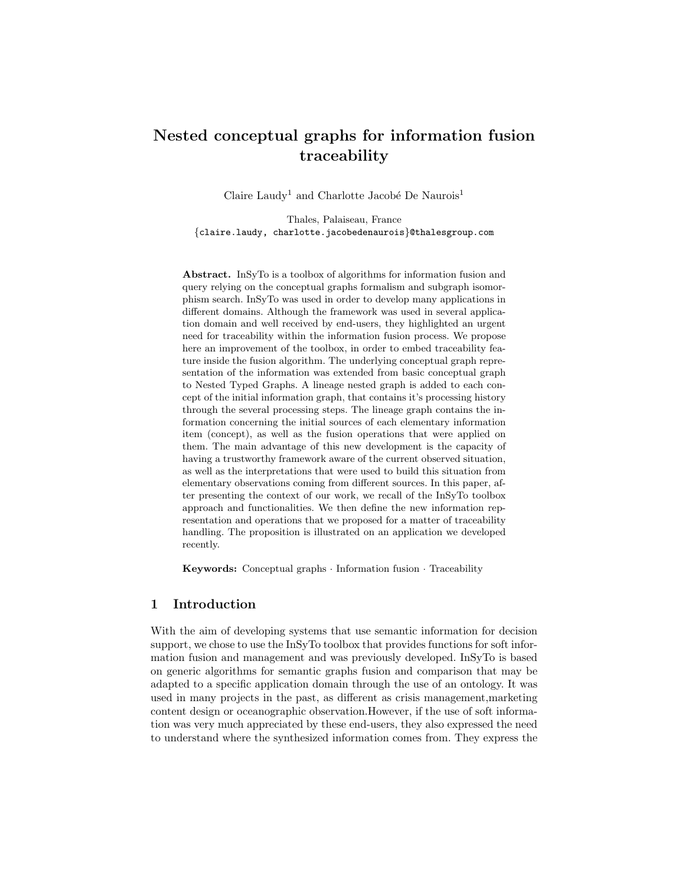# Nested conceptual graphs for information fusion traceability

Claire Laudy<sup>1</sup> and Charlotte Jacobé De Naurois<sup>1</sup>

Thales, Palaiseau, France {claire.laudy, charlotte.jacobedenaurois}@thalesgroup.com

Abstract. InSyTo is a toolbox of algorithms for information fusion and query relying on the conceptual graphs formalism and subgraph isomorphism search. InSyTo was used in order to develop many applications in different domains. Although the framework was used in several application domain and well received by end-users, they highlighted an urgent need for traceability within the information fusion process. We propose here an improvement of the toolbox, in order to embed traceability feature inside the fusion algorithm. The underlying conceptual graph representation of the information was extended from basic conceptual graph to Nested Typed Graphs. A lineage nested graph is added to each concept of the initial information graph, that contains it's processing history through the several processing steps. The lineage graph contains the information concerning the initial sources of each elementary information item (concept), as well as the fusion operations that were applied on them. The main advantage of this new development is the capacity of having a trustworthy framework aware of the current observed situation, as well as the interpretations that were used to build this situation from elementary observations coming from different sources. In this paper, after presenting the context of our work, we recall of the InSyTo toolbox approach and functionalities. We then define the new information representation and operations that we proposed for a matter of traceability handling. The proposition is illustrated on an application we developed recently.

Keywords: Conceptual graphs · Information fusion · Traceability

## 1 Introduction

With the aim of developing systems that use semantic information for decision support, we chose to use the InSyTo toolbox that provides functions for soft information fusion and management and was previously developed. InSyTo is based on generic algorithms for semantic graphs fusion and comparison that may be adapted to a specific application domain through the use of an ontology. It was used in many projects in the past, as different as crisis management,marketing content design or oceanographic observation.However, if the use of soft information was very much appreciated by these end-users, they also expressed the need to understand where the synthesized information comes from. They express the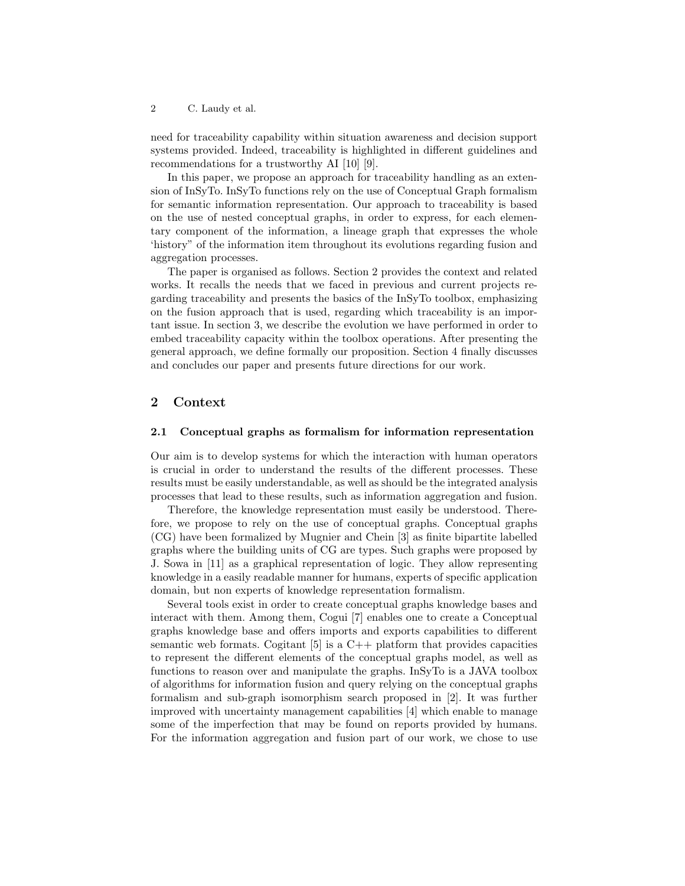need for traceability capability within situation awareness and decision support systems provided. Indeed, traceability is highlighted in different guidelines and recommendations for a trustworthy AI [10] [9].

In this paper, we propose an approach for traceability handling as an extension of InSyTo. InSyTo functions rely on the use of Conceptual Graph formalism for semantic information representation. Our approach to traceability is based on the use of nested conceptual graphs, in order to express, for each elementary component of the information, a lineage graph that expresses the whole 'history" of the information item throughout its evolutions regarding fusion and aggregation processes.

The paper is organised as follows. Section 2 provides the context and related works. It recalls the needs that we faced in previous and current projects regarding traceability and presents the basics of the InSyTo toolbox, emphasizing on the fusion approach that is used, regarding which traceability is an important issue. In section 3, we describe the evolution we have performed in order to embed traceability capacity within the toolbox operations. After presenting the general approach, we define formally our proposition. Section 4 finally discusses and concludes our paper and presents future directions for our work.

# 2 Context

#### 2.1 Conceptual graphs as formalism for information representation

Our aim is to develop systems for which the interaction with human operators is crucial in order to understand the results of the different processes. These results must be easily understandable, as well as should be the integrated analysis processes that lead to these results, such as information aggregation and fusion.

Therefore, the knowledge representation must easily be understood. Therefore, we propose to rely on the use of conceptual graphs. Conceptual graphs (CG) have been formalized by Mugnier and Chein [3] as finite bipartite labelled graphs where the building units of CG are types. Such graphs were proposed by J. Sowa in [11] as a graphical representation of logic. They allow representing knowledge in a easily readable manner for humans, experts of specific application domain, but non experts of knowledge representation formalism.

Several tools exist in order to create conceptual graphs knowledge bases and interact with them. Among them, Cogui [7] enables one to create a Conceptual graphs knowledge base and offers imports and exports capabilities to different semantic web formats. Cogitant  $[5]$  is a C++ platform that provides capacities to represent the different elements of the conceptual graphs model, as well as functions to reason over and manipulate the graphs. InSyTo is a JAVA toolbox of algorithms for information fusion and query relying on the conceptual graphs formalism and sub-graph isomorphism search proposed in [2]. It was further improved with uncertainty management capabilities [4] which enable to manage some of the imperfection that may be found on reports provided by humans. For the information aggregation and fusion part of our work, we chose to use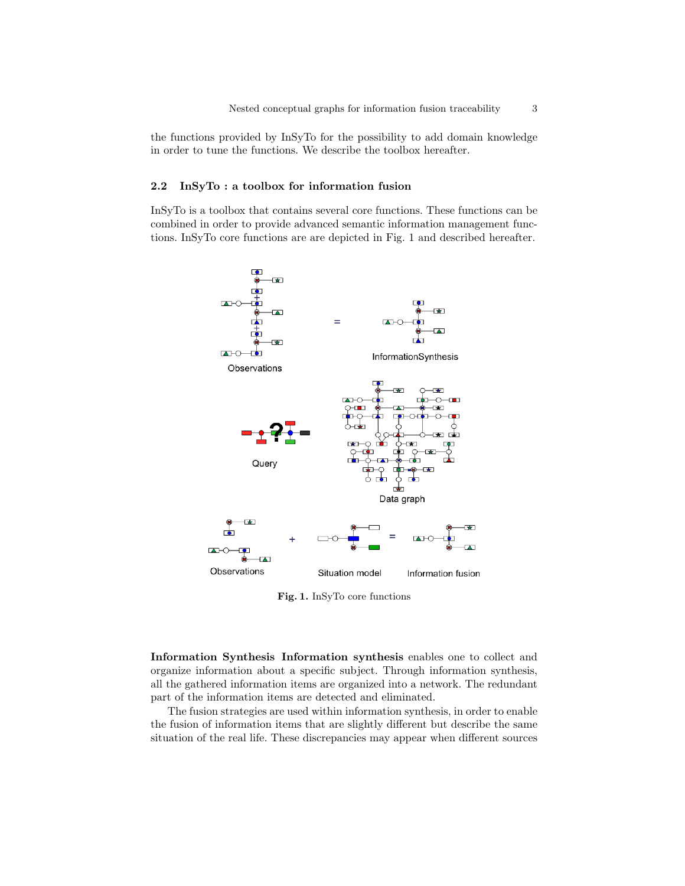the functions provided by InSyTo for the possibility to add domain knowledge in order to tune the functions. We describe the toolbox hereafter.

#### 2.2 InSyTo : a toolbox for information fusion

InSyTo is a toolbox that contains several core functions. These functions can be combined in order to provide advanced semantic information management functions. InSyTo core functions are are depicted in Fig. 1 and described hereafter.



Fig. 1. InSyTo core functions

Information Synthesis Information synthesis enables one to collect and organize information about a specific subject. Through information synthesis, all the gathered information items are organized into a network. The redundant part of the information items are detected and eliminated.

The fusion strategies are used within information synthesis, in order to enable the fusion of information items that are slightly different but describe the same situation of the real life. These discrepancies may appear when different sources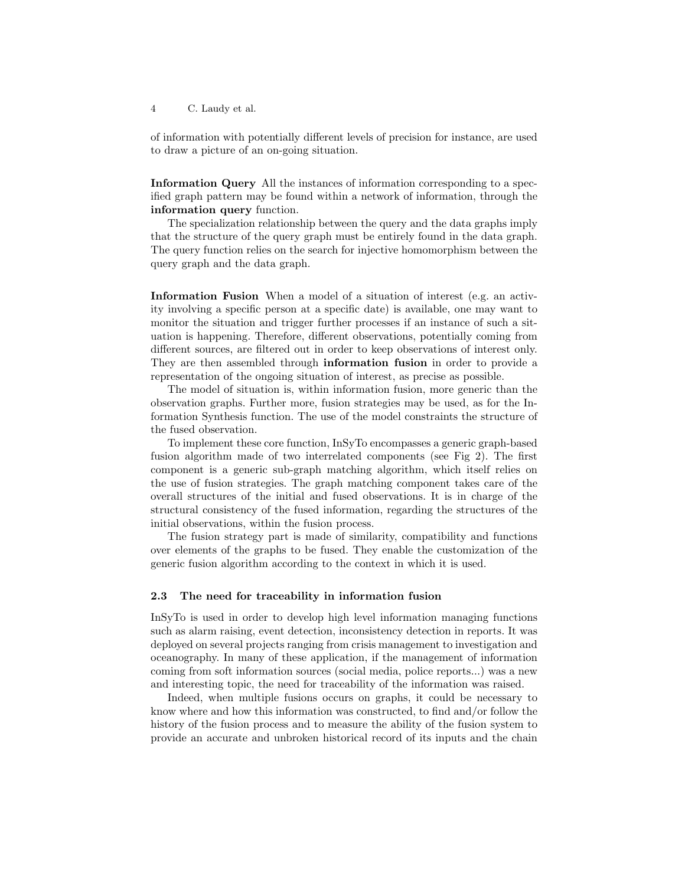of information with potentially different levels of precision for instance, are used to draw a picture of an on-going situation.

Information Query All the instances of information corresponding to a specified graph pattern may be found within a network of information, through the information query function.

The specialization relationship between the query and the data graphs imply that the structure of the query graph must be entirely found in the data graph. The query function relies on the search for injective homomorphism between the query graph and the data graph.

Information Fusion When a model of a situation of interest (e.g. an activity involving a specific person at a specific date) is available, one may want to monitor the situation and trigger further processes if an instance of such a situation is happening. Therefore, different observations, potentially coming from different sources, are filtered out in order to keep observations of interest only. They are then assembled through information fusion in order to provide a representation of the ongoing situation of interest, as precise as possible.

The model of situation is, within information fusion, more generic than the observation graphs. Further more, fusion strategies may be used, as for the Information Synthesis function. The use of the model constraints the structure of the fused observation.

To implement these core function, InSyTo encompasses a generic graph-based fusion algorithm made of two interrelated components (see Fig 2). The first component is a generic sub-graph matching algorithm, which itself relies on the use of fusion strategies. The graph matching component takes care of the overall structures of the initial and fused observations. It is in charge of the structural consistency of the fused information, regarding the structures of the initial observations, within the fusion process.

The fusion strategy part is made of similarity, compatibility and functions over elements of the graphs to be fused. They enable the customization of the generic fusion algorithm according to the context in which it is used.

#### 2.3 The need for traceability in information fusion

InSyTo is used in order to develop high level information managing functions such as alarm raising, event detection, inconsistency detection in reports. It was deployed on several projects ranging from crisis management to investigation and oceanography. In many of these application, if the management of information coming from soft information sources (social media, police reports...) was a new and interesting topic, the need for traceability of the information was raised.

Indeed, when multiple fusions occurs on graphs, it could be necessary to know where and how this information was constructed, to find and/or follow the history of the fusion process and to measure the ability of the fusion system to provide an accurate and unbroken historical record of its inputs and the chain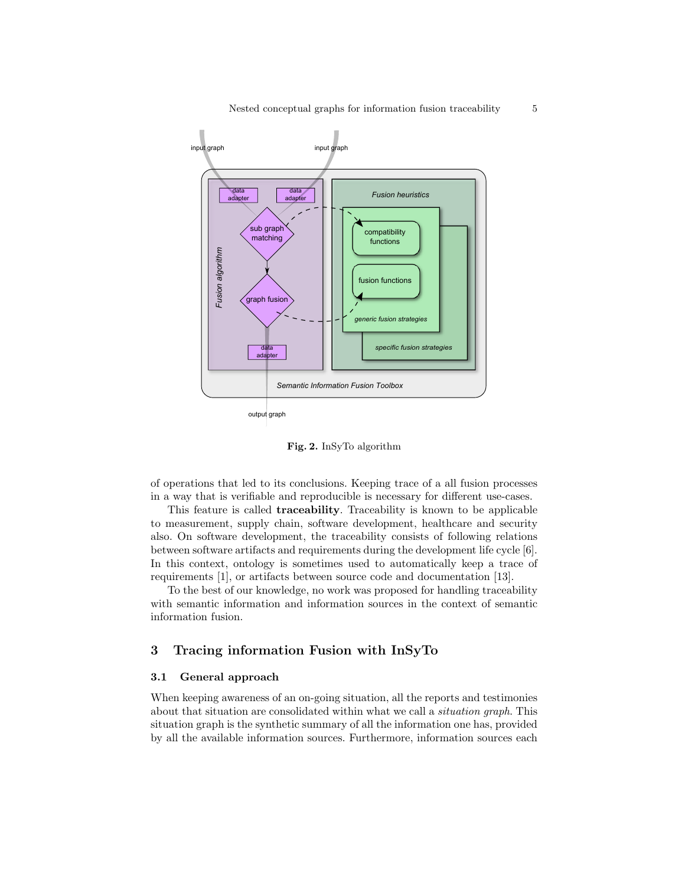

output graph

Fig. 2. InSyTo algorithm

of operations that led to its conclusions. Keeping trace of a all fusion processes in a way that is verifiable and reproducible is necessary for different use-cases.

This feature is called traceability. Traceability is known to be applicable to measurement, supply chain, software development, healthcare and security also. On software development, the traceability consists of following relations between software artifacts and requirements during the development life cycle [6]. In this context, ontology is sometimes used to automatically keep a trace of requirements [1], or artifacts between source code and documentation [13].

To the best of our knowledge, no work was proposed for handling traceability with semantic information and information sources in the context of semantic information fusion.

# 3 Tracing information Fusion with InSyTo

## 3.1 General approach

When keeping awareness of an on-going situation, all the reports and testimonies about that situation are consolidated within what we call a situation graph. This situation graph is the synthetic summary of all the information one has, provided by all the available information sources. Furthermore, information sources each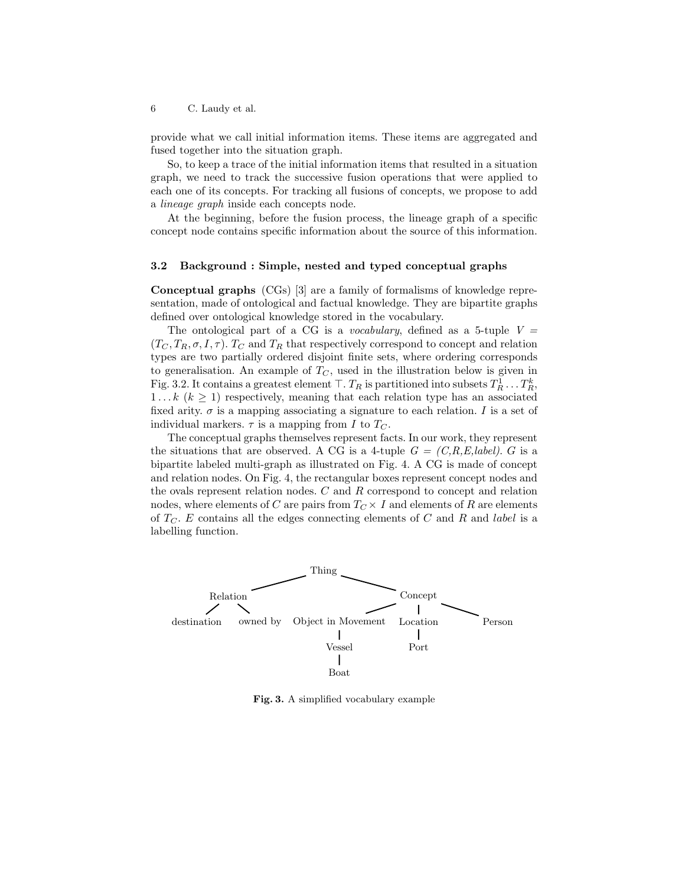provide what we call initial information items. These items are aggregated and fused together into the situation graph.

So, to keep a trace of the initial information items that resulted in a situation graph, we need to track the successive fusion operations that were applied to each one of its concepts. For tracking all fusions of concepts, we propose to add a lineage graph inside each concepts node.

At the beginning, before the fusion process, the lineage graph of a specific concept node contains specific information about the source of this information.

#### 3.2 Background : Simple, nested and typed conceptual graphs

Conceptual graphs (CGs) [3] are a family of formalisms of knowledge representation, made of ontological and factual knowledge. They are bipartite graphs defined over ontological knowledge stored in the vocabulary.

The ontological part of a CG is a vocabulary, defined as a 5-tuple  $V =$  $(T_C, T_R, \sigma, I, \tau)$ .  $T_C$  and  $T_R$  that respectively correspond to concept and relation types are two partially ordered disjoint finite sets, where ordering corresponds to generalisation. An example of  $T_C$ , used in the illustration below is given in Fig. 3.2. It contains a greatest element  $\top$ .  $T_R$  is partitioned into subsets  $T_R^1 \ldots T_R^k$ , 1...  $k$  ( $k \geq 1$ ) respectively, meaning that each relation type has an associated fixed arity.  $\sigma$  is a mapping associating a signature to each relation. I is a set of individual markers.  $\tau$  is a mapping from I to  $T_C$ .

The conceptual graphs themselves represent facts. In our work, they represent the situations that are observed. A CG is a 4-tuple  $G = (C, R, E, label)$ . G is a bipartite labeled multi-graph as illustrated on Fig. 4. A CG is made of concept and relation nodes. On Fig. 4, the rectangular boxes represent concept nodes and the ovals represent relation nodes. C and R correspond to concept and relation nodes, where elements of C are pairs from  $T_C \times I$  and elements of R are elements of  $T<sub>C</sub>$ . E contains all the edges connecting elements of C and R and label is a labelling function.



Fig. 3. A simplified vocabulary example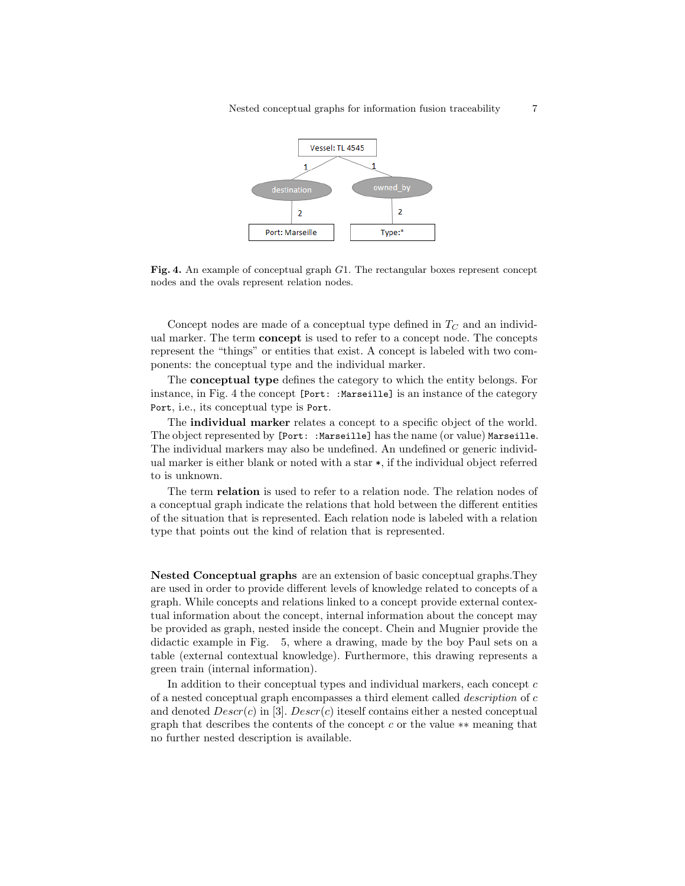

Fig. 4. An example of conceptual graph G1. The rectangular boxes represent concept nodes and the ovals represent relation nodes.

Concept nodes are made of a conceptual type defined in  $T<sub>C</sub>$  and an individual marker. The term **concept** is used to refer to a concept node. The concepts represent the "things" or entities that exist. A concept is labeled with two components: the conceptual type and the individual marker.

The conceptual type defines the category to which the entity belongs. For instance, in Fig. 4 the concept [Port: : Marseille] is an instance of the category Port, i.e., its conceptual type is Port.

The individual marker relates a concept to a specific object of the world. The object represented by [Port: : Marseille] has the name (or value) Marseille. The individual markers may also be undefined. An undefined or generic individual marker is either blank or noted with a star \*, if the individual object referred to is unknown.

The term relation is used to refer to a relation node. The relation nodes of a conceptual graph indicate the relations that hold between the different entities of the situation that is represented. Each relation node is labeled with a relation type that points out the kind of relation that is represented.

Nested Conceptual graphs are an extension of basic conceptual graphs.They are used in order to provide different levels of knowledge related to concepts of a graph. While concepts and relations linked to a concept provide external contextual information about the concept, internal information about the concept may be provided as graph, nested inside the concept. Chein and Mugnier provide the didactic example in Fig. 5, where a drawing, made by the boy Paul sets on a table (external contextual knowledge). Furthermore, this drawing represents a green train (internal information).

In addition to their conceptual types and individual markers, each concept  $c$ of a nested conceptual graph encompasses a third element called description of c and denoted  $Descr(c)$  in [3].  $Descr(c)$  iteself contains either a nested conceptual graph that describes the contents of the concept  $c$  or the value  $**$  meaning that no further nested description is available.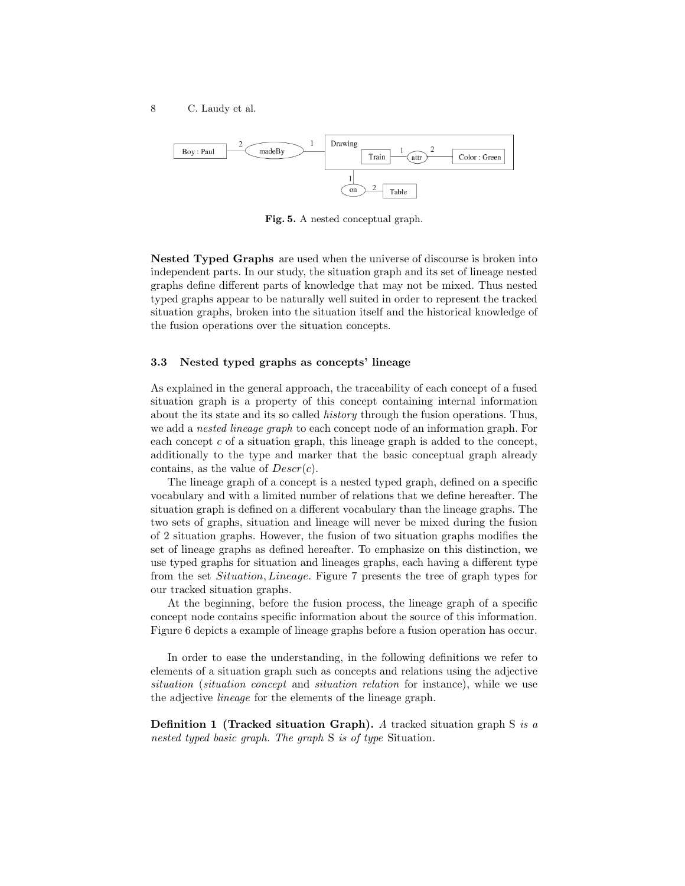



Fig. 5. A nested conceptual graph.

Nested Typed Graphs are used when the universe of discourse is broken into independent parts. In our study, the situation graph and its set of lineage nested graphs define different parts of knowledge that may not be mixed. Thus nested typed graphs appear to be naturally well suited in order to represent the tracked situation graphs, broken into the situation itself and the historical knowledge of the fusion operations over the situation concepts.

#### 3.3 Nested typed graphs as concepts' lineage

As explained in the general approach, the traceability of each concept of a fused situation graph is a property of this concept containing internal information about the its state and its so called history through the fusion operations. Thus, we add a nested lineage graph to each concept node of an information graph. For each concept  $c$  of a situation graph, this lineage graph is added to the concept, additionally to the type and marker that the basic conceptual graph already contains, as the value of  $Descr(c)$ .

The lineage graph of a concept is a nested typed graph, defined on a specific vocabulary and with a limited number of relations that we define hereafter. The situation graph is defined on a different vocabulary than the lineage graphs. The two sets of graphs, situation and lineage will never be mixed during the fusion of 2 situation graphs. However, the fusion of two situation graphs modifies the set of lineage graphs as defined hereafter. To emphasize on this distinction, we use typed graphs for situation and lineages graphs, each having a different type from the set Situation, Lineage. Figure 7 presents the tree of graph types for our tracked situation graphs.

At the beginning, before the fusion process, the lineage graph of a specific concept node contains specific information about the source of this information. Figure 6 depicts a example of lineage graphs before a fusion operation has occur.

In order to ease the understanding, in the following definitions we refer to elements of a situation graph such as concepts and relations using the adjective situation (situation concept and situation relation for instance), while we use the adjective lineage for the elements of the lineage graph.

**Definition 1 (Tracked situation Graph).** A tracked situation graph S is a nested typed basic graph. The graph S is of type Situation.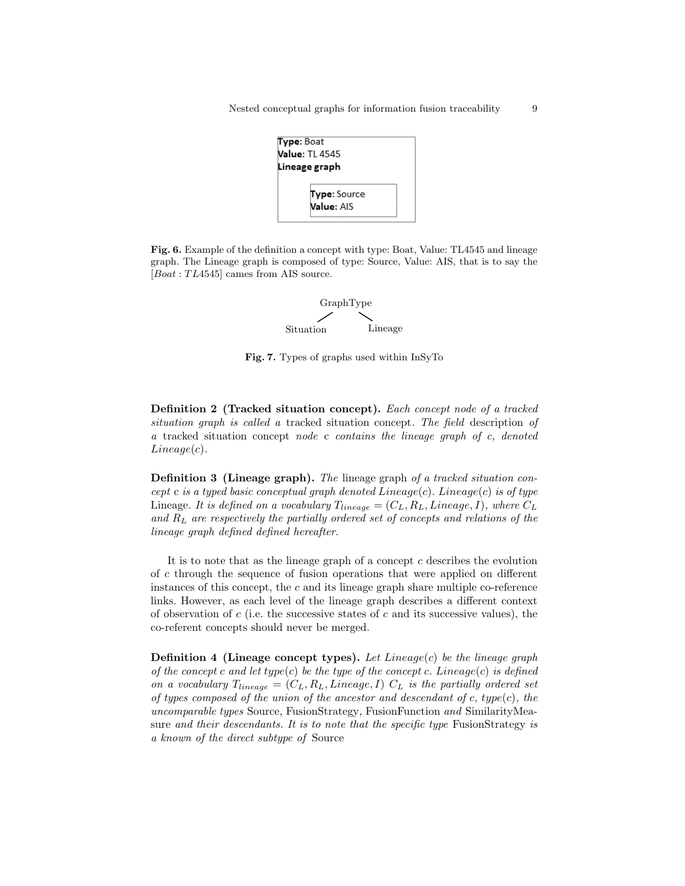| <b>Type:</b> Boat |  |
|-------------------|--|
| Value: TL 4545    |  |
| Lineage graph     |  |
|                   |  |
| Type: Source      |  |
| Value: AIS        |  |
|                   |  |

Fig. 6. Example of the definition a concept with type: Boat, Value: TL4545 and lineage graph. The Lineage graph is composed of type: Source, Value: AIS, that is to say the  $[Boat : TL4545]$  cames from AIS source.



Fig. 7. Types of graphs used within InSyTo

Definition 2 (Tracked situation concept). Each concept node of a tracked situation graph is called a tracked situation concept. The field description of a tracked situation concept node c contains the lineage graph of c, denoted  $Lineage(c).$ 

Definition 3 (Lineage graph). The lineage graph of a tracked situation concept c is a typed basic conceptual graph denoted  $Lineage(c)$ . Lineage(c) is of type Lineage. It is defined on a vocabulary  $T_{lineage} = (C_L, R_L, Lineage, I)$ , where  $C_L$ and  $R_L$  are respectively the partially ordered set of concepts and relations of the lineage graph defined defined hereafter.

It is to note that as the lineage graph of a concept  $c$  describes the evolution of c through the sequence of fusion operations that were applied on different instances of this concept, the  $c$  and its lineage graph share multiple co-reference links. However, as each level of the lineage graph describes a different context of observation of c (i.e. the successive states of c and its successive values), the co-referent concepts should never be merged.

**Definition 4 (Lineage concept types).** Let Lineage $(c)$  be the lineage graph of the concept c and let type(c) be the type of the concept c. Lineage(c) is defined on a vocabulary  $T_{lineage} = (C_L, R_L, Lineage, I)$   $C_L$  is the partially ordered set of types composed of the union of the ancestor and descendant of c, type $(c)$ , the uncomparable types Source, FusionStrategy, FusionFunction and SimilarityMeasure and their descendants. It is to note that the specific type FusionStrategy is a known of the direct subtype of Source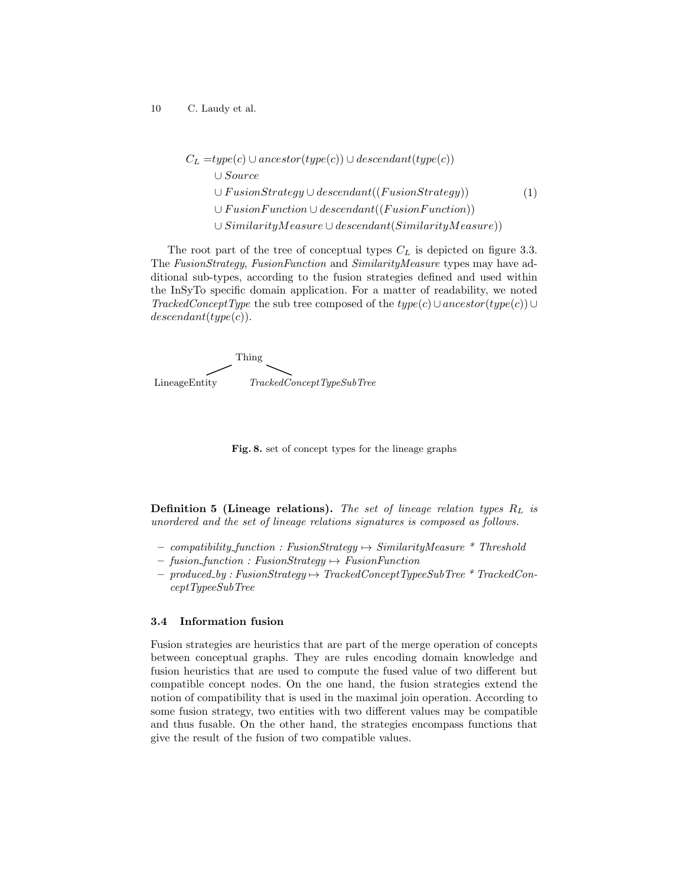```
C_L = type(c) \cup ancestor(type(c)) \cup descendant(type(c))∪ Source
\cup FusionStrategy \cup descendant((FusionStrategy))
 \cup FusionFunction \cup descendant((FusionFunction))
 ∪ SimilarityMeasure ∪ descendant(SimilarityMeasure))
                                                                (1)
```
The root part of the tree of conceptual types  $C_L$  is depicted on figure 3.3. The FusionStrategy, FusionFunction and SimilarityMeasure types may have additional sub-types, according to the fusion strategies defined and used within the InSyTo specific domain application. For a matter of readability, we noted TrackedConceptType the sub tree composed of the  $type(c) \cup ancestor(type(c)) \cup$  $descendant(type(c)).$ 



Fig. 8. set of concept types for the lineage graphs

**Definition 5 (Lineage relations).** The set of lineage relation types  $R_L$  is unordered and the set of lineage relations signatures is composed as follows.

- compatibility\_function : FusionStrategy  $→$  SimilarityMeasure \* Threshold
- $-$  fusion\_function : FusionStrategy  $\mapsto$  FusionFunction
- $-$  produced\_by : FusionStrategy  $\mapsto$  TrackedConceptTypeeSubTree \* TrackedConceptTypeeSubTree

#### 3.4 Information fusion

Fusion strategies are heuristics that are part of the merge operation of concepts between conceptual graphs. They are rules encoding domain knowledge and fusion heuristics that are used to compute the fused value of two different but compatible concept nodes. On the one hand, the fusion strategies extend the notion of compatibility that is used in the maximal join operation. According to some fusion strategy, two entities with two different values may be compatible and thus fusable. On the other hand, the strategies encompass functions that give the result of the fusion of two compatible values.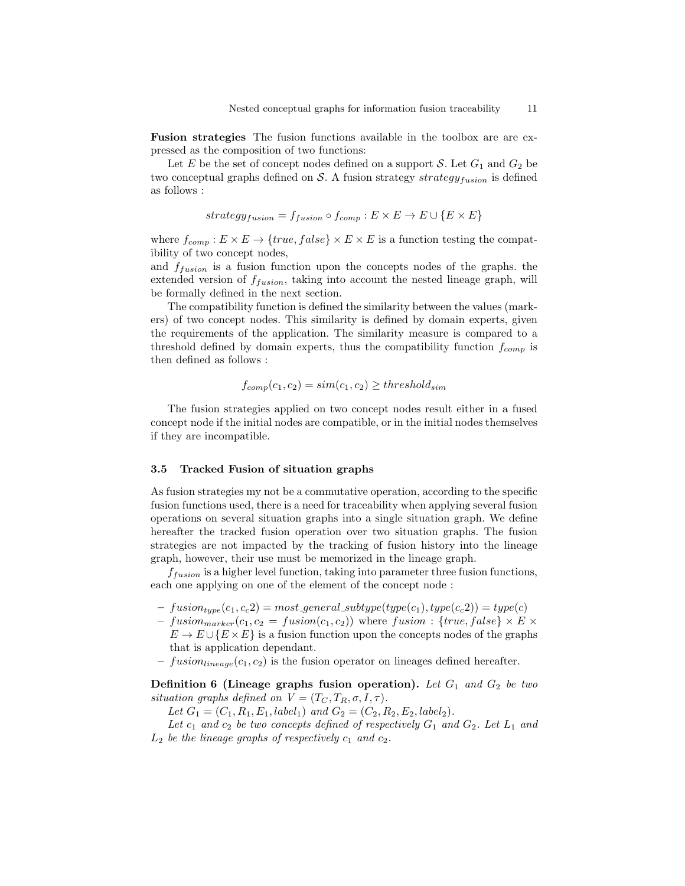Fusion strategies The fusion functions available in the toolbox are are expressed as the composition of two functions:

Let E be the set of concept nodes defined on a support S. Let  $G_1$  and  $G_2$  be two conceptual graphs defined on S. A fusion strategy  $strategy_{fusion}$  is defined as follows :

$$
strategy_{fusion} = f_{fusion} \circ f_{comp} : E \times E \to E \cup \{E \times E\}
$$

where  $f_{comp}: E \times E \rightarrow \{true, false\} \times E \times E$  is a function testing the compatibility of two concept nodes,

and  $f_{fusion}$  is a fusion function upon the concepts nodes of the graphs. the extended version of  $f_{fusion}$ , taking into account the nested lineage graph, will be formally defined in the next section.

The compatibility function is defined the similarity between the values (markers) of two concept nodes. This similarity is defined by domain experts, given the requirements of the application. The similarity measure is compared to a threshold defined by domain experts, thus the compatibility function  $f_{comp}$  is then defined as follows :

$$
f_{comp}(c_1, c_2) = sim(c_1, c_2) \geq threshold_{sim}
$$

The fusion strategies applied on two concept nodes result either in a fused concept node if the initial nodes are compatible, or in the initial nodes themselves if they are incompatible.

#### 3.5 Tracked Fusion of situation graphs

As fusion strategies my not be a commutative operation, according to the specific fusion functions used, there is a need for traceability when applying several fusion operations on several situation graphs into a single situation graph. We define hereafter the tracked fusion operation over two situation graphs. The fusion strategies are not impacted by the tracking of fusion history into the lineage graph, however, their use must be memorized in the lineage graph.

 $f_{fusion}$  is a higher level function, taking into parameter three fusion functions, each one applying on one of the element of the concept node :

- $-$  fusion<sub>type</sub> $(c_1, c_c2)$  = most\_general\_subtype $(type(c_1), type(c_c2)) = type(c)$
- fusion<sub>marker</sub> $(c_1, c_2 =$  fusion $(c_1, c_2)$ ) where fusion : {true, false}  $\times E$   $\times$  $E \to E \cup \{E \times E\}$  is a fusion function upon the concepts nodes of the graphs that is application dependant.
- $fusion_{lineage}(c_1, c_2)$  is the fusion operator on lineages defined hereafter.

Definition 6 (Lineage graphs fusion operation). Let  $G_1$  and  $G_2$  be two situation graphs defined on  $V = (T_C, T_R, \sigma, I, \tau)$ .

Let  $G_1 = (C_1, R_1, E_1, label_1)$  and  $G_2 = (C_2, R_2, E_2, label_2)$ .

Let  $c_1$  and  $c_2$  be two concepts defined of respectively  $G_1$  and  $G_2$ . Let  $L_1$  and  $L_2$  be the lineage graphs of respectively  $c_1$  and  $c_2$ .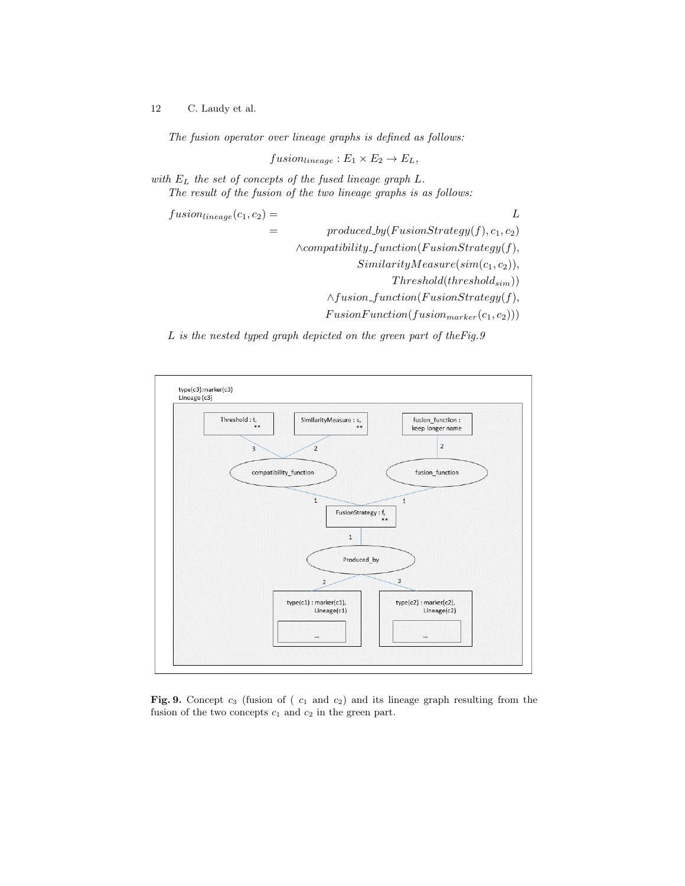The fusion operator over lineage graphs is defined as follows:

 $fusion_{lineage}: E_1 \times E_2 \rightarrow E_L,$ 

with  $E_L$  the set of concepts of the fused lineage graph  $L$ . The result of the fusion of the two lineage graphs is as follows:

 $fusion_{lineage}(c_1, c_2) =$  L  $=$  produced\_by(FusionStrategy(f),  $c_1, c_2$ )  $\wedge$ compatibility\_function(FusionStrategy(f),  $Similarly Measure( $sim(c_1, c_2)$ ),$  $Threshold(threshold_{sim}))$  $\wedge fusion\_function(FusionStrategy(f),$  $FusionFunction(fusion_{marker}(c_1, c_2)))$ 

 $L$  is the nested typed graph depicted on the green part of the Fig.  $9$ 



Fig. 9. Concept  $c_3$  (fusion of ( $c_1$  and  $c_2$ ) and its lineage graph resulting from the fusion of the two concepts  $c_1$  and  $c_2$  in the green part.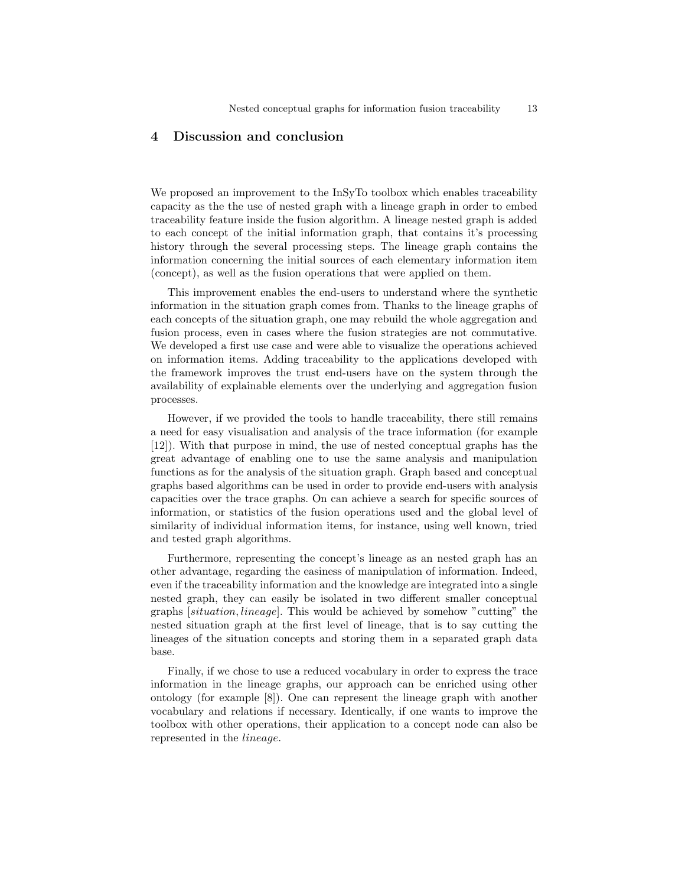# 4 Discussion and conclusion

We proposed an improvement to the InSyTo toolbox which enables traceability capacity as the the use of nested graph with a lineage graph in order to embed traceability feature inside the fusion algorithm. A lineage nested graph is added to each concept of the initial information graph, that contains it's processing history through the several processing steps. The lineage graph contains the information concerning the initial sources of each elementary information item (concept), as well as the fusion operations that were applied on them.

This improvement enables the end-users to understand where the synthetic information in the situation graph comes from. Thanks to the lineage graphs of each concepts of the situation graph, one may rebuild the whole aggregation and fusion process, even in cases where the fusion strategies are not commutative. We developed a first use case and were able to visualize the operations achieved on information items. Adding traceability to the applications developed with the framework improves the trust end-users have on the system through the availability of explainable elements over the underlying and aggregation fusion processes.

However, if we provided the tools to handle traceability, there still remains a need for easy visualisation and analysis of the trace information (for example [12]). With that purpose in mind, the use of nested conceptual graphs has the great advantage of enabling one to use the same analysis and manipulation functions as for the analysis of the situation graph. Graph based and conceptual graphs based algorithms can be used in order to provide end-users with analysis capacities over the trace graphs. On can achieve a search for specific sources of information, or statistics of the fusion operations used and the global level of similarity of individual information items, for instance, using well known, tried and tested graph algorithms.

Furthermore, representing the concept's lineage as an nested graph has an other advantage, regarding the easiness of manipulation of information. Indeed, even if the traceability information and the knowledge are integrated into a single nested graph, they can easily be isolated in two different smaller conceptual graphs [situation, lineage]. This would be achieved by somehow "cutting" the nested situation graph at the first level of lineage, that is to say cutting the lineages of the situation concepts and storing them in a separated graph data base.

Finally, if we chose to use a reduced vocabulary in order to express the trace information in the lineage graphs, our approach can be enriched using other ontology (for example [8]). One can represent the lineage graph with another vocabulary and relations if necessary. Identically, if one wants to improve the toolbox with other operations, their application to a concept node can also be represented in the lineage.